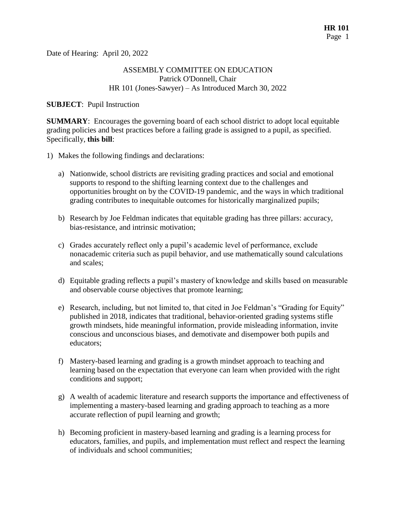Date of Hearing: April 20, 2022

## ASSEMBLY COMMITTEE ON EDUCATION Patrick O'Donnell, Chair HR 101 (Jones-Sawyer) – As Introduced March 30, 2022

**SUBJECT**: Pupil Instruction

**SUMMARY**: Encourages the governing board of each school district to adopt local equitable grading policies and best practices before a failing grade is assigned to a pupil, as specified. Specifically, **this bill**:

- 1) Makes the following findings and declarations:
	- a) Nationwide, school districts are revisiting grading practices and social and emotional supports to respond to the shifting learning context due to the challenges and opportunities brought on by the COVID-19 pandemic, and the ways in which traditional grading contributes to inequitable outcomes for historically marginalized pupils;
	- b) Research by Joe Feldman indicates that equitable grading has three pillars: accuracy, bias-resistance, and intrinsic motivation;
	- c) Grades accurately reflect only a pupil's academic level of performance, exclude nonacademic criteria such as pupil behavior, and use mathematically sound calculations and scales;
	- d) Equitable grading reflects a pupil's mastery of knowledge and skills based on measurable and observable course objectives that promote learning;
	- e) Research, including, but not limited to, that cited in Joe Feldman's "Grading for Equity" published in 2018, indicates that traditional, behavior-oriented grading systems stifle growth mindsets, hide meaningful information, provide misleading information, invite conscious and unconscious biases, and demotivate and disempower both pupils and educators;
	- f) Mastery-based learning and grading is a growth mindset approach to teaching and learning based on the expectation that everyone can learn when provided with the right conditions and support;
	- g) A wealth of academic literature and research supports the importance and effectiveness of implementing a mastery-based learning and grading approach to teaching as a more accurate reflection of pupil learning and growth;
	- h) Becoming proficient in mastery-based learning and grading is a learning process for educators, families, and pupils, and implementation must reflect and respect the learning of individuals and school communities;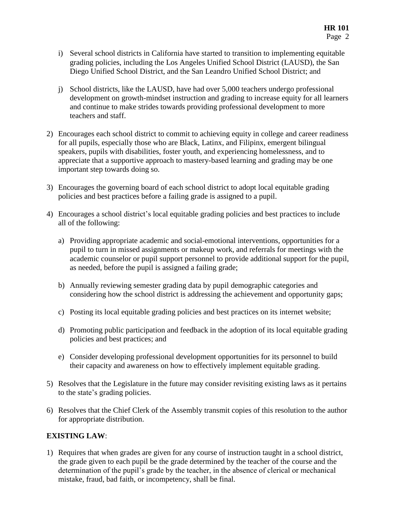- i) Several school districts in California have started to transition to implementing equitable grading policies, including the Los Angeles Unified School District (LAUSD), the San Diego Unified School District, and the San Leandro Unified School District; and
- j) School districts, like the LAUSD, have had over 5,000 teachers undergo professional development on growth-mindset instruction and grading to increase equity for all learners and continue to make strides towards providing professional development to more teachers and staff.
- 2) Encourages each school district to commit to achieving equity in college and career readiness for all pupils, especially those who are Black, Latinx, and Filipinx, emergent bilingual speakers, pupils with disabilities, foster youth, and experiencing homelessness, and to appreciate that a supportive approach to mastery-based learning and grading may be one important step towards doing so.
- 3) Encourages the governing board of each school district to adopt local equitable grading policies and best practices before a failing grade is assigned to a pupil.
- 4) Encourages a school district's local equitable grading policies and best practices to include all of the following:
	- a) Providing appropriate academic and social-emotional interventions, opportunities for a pupil to turn in missed assignments or makeup work, and referrals for meetings with the academic counselor or pupil support personnel to provide additional support for the pupil, as needed, before the pupil is assigned a failing grade;
	- b) Annually reviewing semester grading data by pupil demographic categories and considering how the school district is addressing the achievement and opportunity gaps;
	- c) Posting its local equitable grading policies and best practices on its internet website;
	- d) Promoting public participation and feedback in the adoption of its local equitable grading policies and best practices; and
	- e) Consider developing professional development opportunities for its personnel to build their capacity and awareness on how to effectively implement equitable grading.
- 5) Resolves that the Legislature in the future may consider revisiting existing laws as it pertains to the state's grading policies.
- 6) Resolves that the Chief Clerk of the Assembly transmit copies of this resolution to the author for appropriate distribution.

## **EXISTING LAW**:

1) Requires that when grades are given for any course of instruction taught in a school district, the grade given to each pupil be the grade determined by the teacher of the course and the determination of the pupil's grade by the teacher, in the absence of clerical or mechanical mistake, fraud, bad faith, or incompetency, shall be final.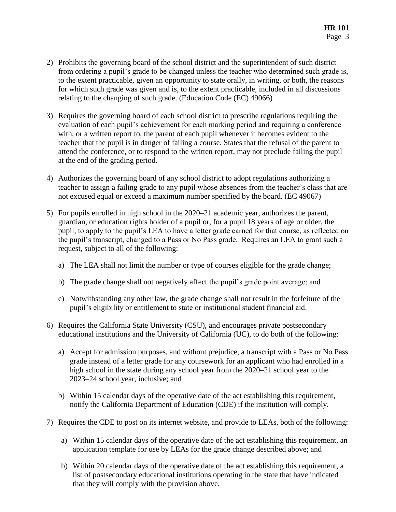- 2) Prohibits the governing board of the school district and the superintendent of such district from ordering a pupil's grade to be changed unless the teacher who determined such grade is, to the extent practicable, given an opportunity to state orally, in writing, or both, the reasons for which such grade was given and is, to the extent practicable, included in all discussions relating to the changing of such grade. (Education Code (EC) 49066)
- 3) Requires the governing board of each school district to prescribe regulations requiring the evaluation of each pupil's achievement for each marking period and requiring a conference with, or a written report to, the parent of each pupil whenever it becomes evident to the teacher that the pupil is in danger of failing a course. States that the refusal of the parent to attend the conference, or to respond to the written report, may not preclude failing the pupil at the end of the grading period.
- 4) Authorizes the governing board of any school district to adopt regulations authorizing a teacher to assign a failing grade to any pupil whose absences from the teacher's class that are not excused equal or exceed a maximum number specified by the board. (EC 49067)
- 5) For pupils enrolled in high school in the 2020–21 academic year, authorizes the parent, guardian, or education rights holder of a pupil or, for a pupil 18 years of age or older, the pupil, to apply to the pupil's LEA to have a letter grade earned for that course, as reflected on the pupil's transcript, changed to a Pass or No Pass grade. Requires an LEA to grant such a request, subject to all of the following:
	- a) The LEA shall not limit the number or type of courses eligible for the grade change;
	- b) The grade change shall not negatively affect the pupil's grade point average; and
	- c) Notwithstanding any other law, the grade change shall not result in the forfeiture of the pupil's eligibility or entitlement to state or institutional student financial aid.
- 6) Requires the California State University (CSU), and encourages private postsecondary educational institutions and the University of California (UC), to do both of the following:
	- a) Accept for admission purposes, and without prejudice, a transcript with a Pass or No Pass grade instead of a letter grade for any coursework for an applicant who had enrolled in a high school in the state during any school year from the 2020–21 school year to the 2023–24 school year, inclusive; and
	- b) Within 15 calendar days of the operative date of the act establishing this requirement, notify the California Department of Education (CDE) if the institution will comply.
- 7) Requires the CDE to post on its internet website, and provide to LEAs, both of the following:
	- a) Within 15 calendar days of the operative date of the act establishing this requirement, an application template for use by LEAs for the grade change described above; and
	- b) Within 20 calendar days of the operative date of the act establishing this requirement, a list of postsecondary educational institutions operating in the state that have indicated that they will comply with the provision above.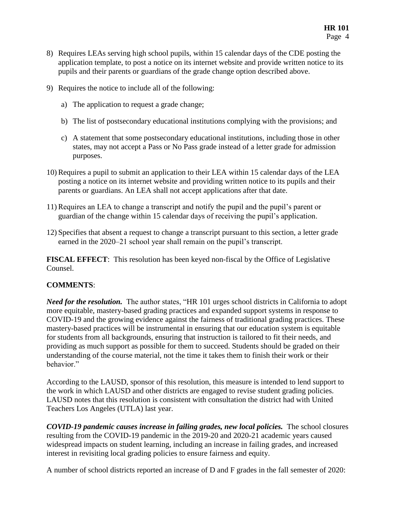- 8) Requires LEAs serving high school pupils, within 15 calendar days of the CDE posting the application template, to post a notice on its internet website and provide written notice to its pupils and their parents or guardians of the grade change option described above.
- 9) Requires the notice to include all of the following:
	- a) The application to request a grade change;
	- b) The list of postsecondary educational institutions complying with the provisions; and
	- c) A statement that some postsecondary educational institutions, including those in other states, may not accept a Pass or No Pass grade instead of a letter grade for admission purposes.
- 10) Requires a pupil to submit an application to their LEA within 15 calendar days of the LEA posting a notice on its internet website and providing written notice to its pupils and their parents or guardians. An LEA shall not accept applications after that date.
- 11) Requires an LEA to change a transcript and notify the pupil and the pupil's parent or guardian of the change within 15 calendar days of receiving the pupil's application.
- 12) Specifies that absent a request to change a transcript pursuant to this section, a letter grade earned in the 2020–21 school year shall remain on the pupil's transcript.

**FISCAL EFFECT**: This resolution has been keyed non-fiscal by the Office of Legislative Counsel.

## **COMMENTS**:

*Need for the resolution.* The author states, "HR 101 urges school districts in California to adopt more equitable, mastery-based grading practices and expanded support systems in response to COVID-19 and the growing evidence against the fairness of traditional grading practices. These mastery-based practices will be instrumental in ensuring that our education system is equitable for students from all backgrounds, ensuring that instruction is tailored to fit their needs, and providing as much support as possible for them to succeed. Students should be graded on their understanding of the course material, not the time it takes them to finish their work or their behavior."

According to the LAUSD, sponsor of this resolution, this measure is intended to lend support to the work in which LAUSD and other districts are engaged to revise student grading policies. LAUSD notes that this resolution is consistent with consultation the district had with United Teachers Los Angeles (UTLA) last year.

*COVID-19 pandemic causes increase in failing grades, new local policies.* The school closures resulting from the COVID-19 pandemic in the 2019-20 and 2020-21 academic years caused widespread impacts on student learning, including an increase in failing grades, and increased interest in revisiting local grading policies to ensure fairness and equity.

A number of school districts reported an increase of D and F grades in the fall semester of 2020: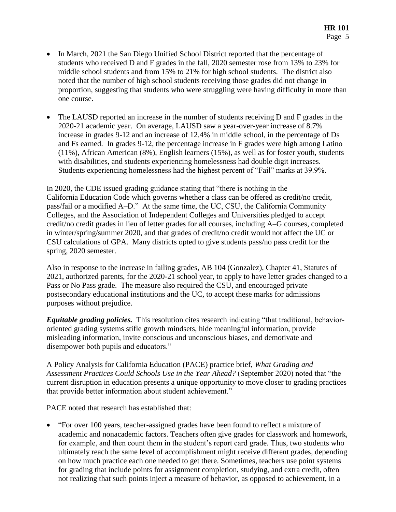- In March, 2021 the San Diego Unified School District reported that the percentage of students who received D and F grades in the fall, 2020 semester rose from 13% to 23% for middle school students and from 15% to 21% for high school students. The district also noted that the number of high school students receiving those grades did not change in proportion, suggesting that students who were struggling were having difficulty in more than one course.
- The LAUSD reported an increase in the number of students receiving D and F grades in the 2020-21 academic year. On average, LAUSD saw a year-over-year increase of 8.7% increase in grades 9-12 and an increase of 12.4% in middle school, in the percentage of Ds and Fs earned. In grades 9-12, the percentage increase in F grades were high among Latino (11%), African American (8%), English learners (15%), as well as for foster youth, students with disabilities, and students experiencing homelessness had double digit increases. Students experiencing homelessness had the highest percent of "Fail" marks at 39.9%.

In 2020, the CDE issued grading guidance stating that "there is nothing in the California Education Code which governs whether a class can be offered as credit/no credit, pass/fail or a modified A–D." At the same time, the UC, CSU, the California Community Colleges, and the Association of Independent Colleges and Universities pledged to accept credit/no credit grades in lieu of letter grades for all courses, including A–G courses, completed in winter/spring/summer 2020, and that grades of credit/no credit would not affect the UC or CSU calculations of GPA. Many districts opted to give students pass/no pass credit for the spring, 2020 semester.

Also in response to the increase in failing grades, AB 104 (Gonzalez), Chapter 41, Statutes of 2021, authorized parents, for the 2020-21 school year, to apply to have letter grades changed to a Pass or No Pass grade. The measure also required the CSU, and encouraged private postsecondary educational institutions and the UC, to accept these marks for admissions purposes without prejudice.

*Equitable grading policies.* This resolution cites research indicating "that traditional, behaviororiented grading systems stifle growth mindsets, hide meaningful information, provide misleading information, invite conscious and unconscious biases, and demotivate and disempower both pupils and educators."

A Policy Analysis for California Education (PACE) practice brief, *What Grading and Assessment Practices Could Schools Use in the Year Ahead?* (September 2020) noted that "the current disruption in education presents a unique opportunity to move closer to grading practices that provide better information about student achievement."

PACE noted that research has established that:

 "For over 100 years, teacher-assigned grades have been found to reflect a mixture of academic and nonacademic factors. Teachers often give grades for classwork and homework, for example, and then count them in the student's report card grade. Thus, two students who ultimately reach the same level of accomplishment might receive different grades, depending on how much practice each one needed to get there. Sometimes, teachers use point systems for grading that include points for assignment completion, studying, and extra credit, often not realizing that such points inject a measure of behavior, as opposed to achievement, in a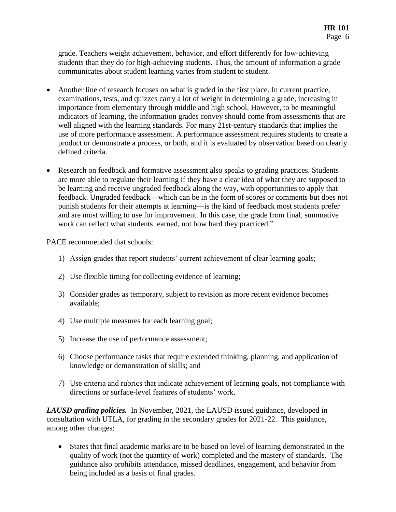grade. Teachers weight achievement, behavior, and effort differently for low-achieving students than they do for high-achieving students. Thus, the amount of information a grade communicates about student learning varies from student to student.

- Another line of research focuses on what is graded in the first place. In current practice, examinations, tests, and quizzes carry a lot of weight in determining a grade, increasing in importance from elementary through middle and high school. However, to be meaningful indicators of learning, the information grades convey should come from assessments that are well aligned with the learning standards. For many 21st-century standards that implies the use of more performance assessment. A performance assessment requires students to create a product or demonstrate a process, or both, and it is evaluated by observation based on clearly defined criteria.
- Research on feedback and formative assessment also speaks to grading practices. Students are more able to regulate their learning if they have a clear idea of what they are supposed to be learning and receive ungraded feedback along the way, with opportunities to apply that feedback. Ungraded feedback—which can be in the form of scores or comments but does not punish students for their attempts at learning—is the kind of feedback most students prefer and are most willing to use for improvement. In this case, the grade from final, summative work can reflect what students learned, not how hard they practiced."

PACE recommended that schools:

- 1) Assign grades that report students' current achievement of clear learning goals;
- 2) Use flexible timing for collecting evidence of learning;
- 3) Consider grades as temporary, subject to revision as more recent evidence becomes available;
- 4) Use multiple measures for each learning goal;
- 5) Increase the use of performance assessment;
- 6) Choose performance tasks that require extended thinking, planning, and application of knowledge or demonstration of skills; and
- 7) Use criteria and rubrics that indicate achievement of learning goals, not compliance with directions or surface-level features of students' work.

*LAUSD grading policies.* In November, 2021, the LAUSD issued guidance, developed in consultation with UTLA, for grading in the secondary grades for 2021-22. This guidance, among other changes:

 States that final academic marks are to be based on level of learning demonstrated in the quality of work (not the quantity of work) completed and the mastery of standards. The guidance also prohibits attendance, missed deadlines, engagement, and behavior from being included as a basis of final grades.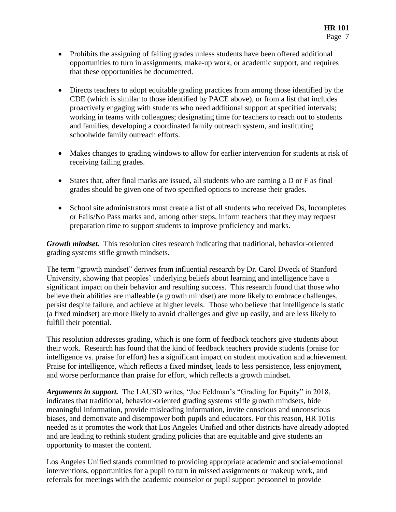- Prohibits the assigning of failing grades unless students have been offered additional opportunities to turn in assignments, make-up work, or academic support, and requires that these opportunities be documented.
- Directs teachers to adopt equitable grading practices from among those identified by the CDE (which is similar to those identified by PACE above), or from a list that includes proactively engaging with students who need additional support at specified intervals; working in teams with colleagues; designating time for teachers to reach out to students and families, developing a coordinated family outreach system, and instituting schoolwide family outreach efforts.
- Makes changes to grading windows to allow for earlier intervention for students at risk of receiving failing grades.
- States that, after final marks are issued, all students who are earning a D or F as final grades should be given one of two specified options to increase their grades.
- School site administrators must create a list of all students who received Ds, Incompletes or Fails/No Pass marks and, among other steps, inform teachers that they may request preparation time to support students to improve proficiency and marks.

*Growth mindset.* This resolution cites research indicating that traditional, behavior-oriented grading systems stifle growth mindsets.

The term "growth mindset" derives from influential research by Dr. Carol Dweck of Stanford University, showing that peoples' underlying beliefs about learning and intelligence have a significant impact on their behavior and resulting success. This research found that those who believe their abilities are malleable (a growth mindset) are more likely to embrace challenges, persist despite failure, and achieve at higher levels. Those who believe that intelligence is static (a fixed mindset) are more likely to avoid challenges and give up easily, and are less likely to fulfill their potential.

This resolution addresses grading, which is one form of feedback teachers give students about their work. Research has found that the kind of feedback teachers provide students (praise for intelligence vs. praise for effort) has a significant impact on student motivation and achievement. Praise for intelligence, which reflects a fixed mindset, leads to less persistence, less enjoyment, and worse performance than praise for effort, which reflects a growth mindset.

*Arguments in support.* The LAUSD writes, "Joe Feldman's "Grading for Equity" in 2018, indicates that traditional, behavior-oriented grading systems stifle growth mindsets, hide meaningful information, provide misleading information, invite conscious and unconscious biases, and demotivate and disempower both pupils and educators. For this reason, HR 101is needed as it promotes the work that Los Angeles Unified and other districts have already adopted and are leading to rethink student grading policies that are equitable and give students an opportunity to master the content.

Los Angeles Unified stands committed to providing appropriate academic and social-emotional interventions, opportunities for a pupil to turn in missed assignments or makeup work, and referrals for meetings with the academic counselor or pupil support personnel to provide